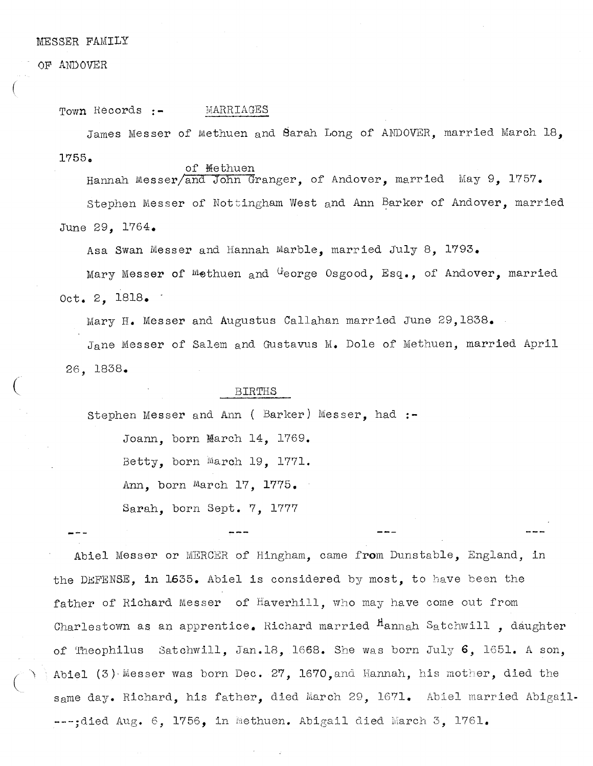## MESSER FAMILY

## OF ANDOVER

(

Town Records :- MARRIAGES

James Messer of Methuen and Sarah Long of ANDOVER, married March 18, 1755.

of <del>M</del>ethuen Hannah Messer/and John Granger, of Andover, married May 9, 1757.

Stephen Messer of Noftingham West and Ann Barker of Andover, married June 29, 1764.

Asa Swan Messer and Hannah Marble, married July 8, 1793.

Mary Messer of Methuen and George Osgood, Esq., of Andover, married Oct. 2, 1818.

Mary H. Messer and Augustus Callahan married June 29,1838.

Jane Messer of Salem and Gustavus M. Dole of Methuen, married April 26, 1838.

## BIRTHS

Stephen Messer and Ann ( Barker) Messer, had :—

Joann. born March  $14$ ,  $1769$ .

Betty, born March 19, 1771.

Ann, born March 17, 1775.

Sarah, born Sept. 7, 1777

Abiel Messer or MERGER of Hingham, came from Dunstable, England, in the DEFENSE, in 1635. Abiel is considered by most, to have been the father of Richard Messer of Haverhill, who may have come out from Charlestown as an apprentice. Richard married  $n_{\text{amah}}$  Satchwill , daughter of Theophilus Satchwill, Jan.18, 1668. She was born July 6, 1651. <sup>A</sup> son, Abiel (3) Messer was born Dec. 27, 1670, and Hannah, his mother, died the same day. Richard, his father, died March 29, 1671. Abiel married Abigail----;died Aug. 6, 1756, in Methuen. Abigail died March 3, 1761.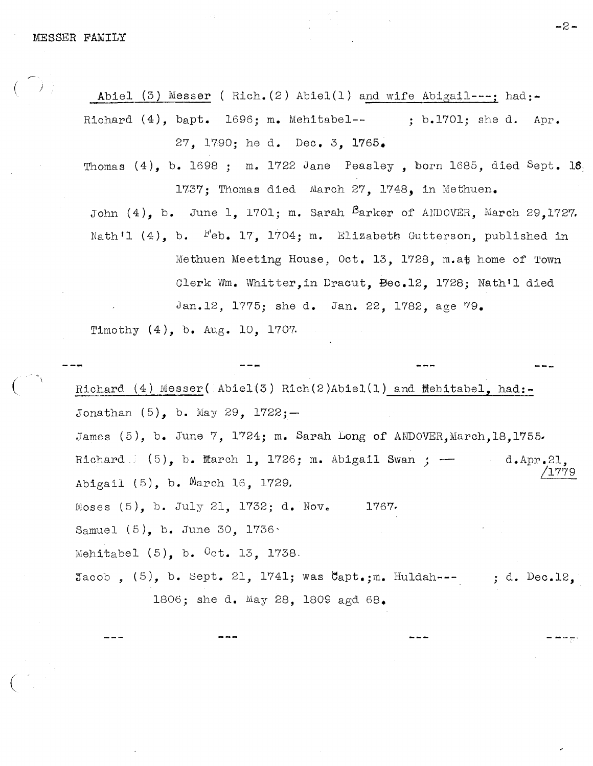Abiel (3) Messer ( Rich. (2) Abiel(1) and wife Abigail---; had:-Richard  $(4)$ , bapt. 1696; m. Mehitabel-- ; b.1701; she d. Apr. 27, 1790; he d. Dec. 3, 1765.

Thomas  $(4)$ , b. 1698 ; m. 1722 Jane Peasley, born 1685, died Sept. 18  $1737$ ; Thomas died March 27, 1748, in Methuen.

John  $(4)$ , b. June 1, 1701; m. Sarah  $B$ arker of ANDOVER, March 29,1727. Nath'l  $(4)$ , b.  $F$ eb. 17, 1704; m. Elizabeth Gutterson, published in

Methuen Meeting House, Oct. 13, 1728, m.at home of Town Clerk Wm. Whitter, in Dracut. Bec.12. 1728: Nath'l died Jan.12, 1775; she d. Jan. 22, 1782, age 79.

Timothy (4), b. Aug. 10, 1707.

Richard  $(4)$  Messer( Abiel $(5)$  Rich $(2)$ Abiel $(1)$  and Mehitabel, had:-Jonathan (5), b. May 29, 1722;— James  $(5)$ , b. June 7, 1724; m. Sarah Long of ANDOVER.March.18.1755. Richard  $(5)$ , b. March 1, 1726; m. Abigail Swan ;  $d$ . Apr. 21, Abigail (5), b. March 16, 1729, Moses  $(5)$ , b. July 21, 1732; d. Nov. 1767. Samuel (5), b. June 30, 1736' Mehitabel  $(5)$ , b.  $0ct$ . 13, 1738.  $\text{Jacob}$ ,  $(5)$ , b. Sept. 21, 1741; was  $\texttt{Capt}$ .;m. Huldah--- ; d. Dec.12. 1806; she d. May 28, 1809 agd 68.

—2-.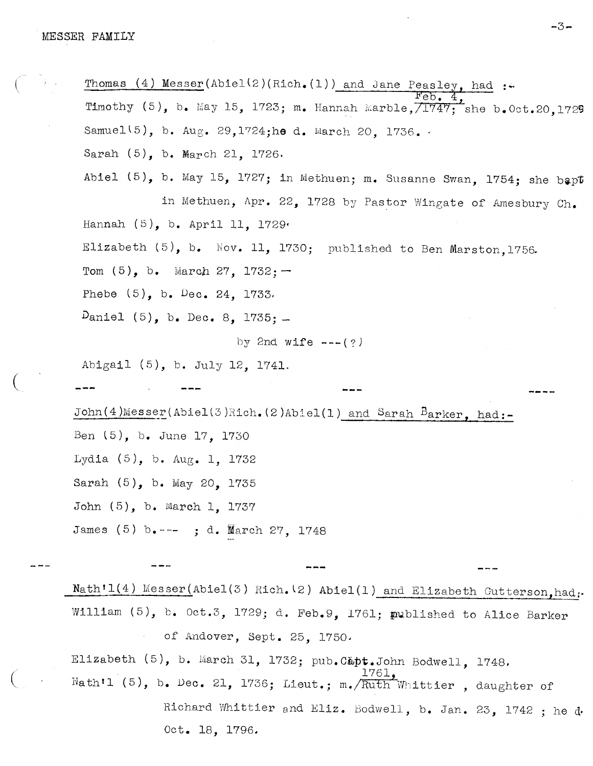Thomas  $(4)$  Messer(Abiel(2)(Rich.(1)) and Jane Peasley, had :- $4.994$ Timothy  $(5)$ , b. May 15, 1723; m. Hannah Marble, $\overline{71747}$ ; she b.Oct.20,1729 Samuel(5), b. Aug. 29,1724;he d. March 20, 1736. Sarah (5), b. March 21, 1726. Abiel  $(5)$ , b. May 15, 1727; in Methuen; m. Susanne Swan, 1754; she bapt in Methuen, Apr. 22, 1728 by Pastor Wingate of Amesbury Ch. Hannah (5), b. April 11, 1729 Elizabeth  $(5)$ , b. Nov. 11, 1730; published to Ben Marston, 1756. Tom  $(5)$ , b. March 27, 1732; -Phebe  $(5)$ , b. Dec. 24, 1733.  $D$ aniel (5), b. Dec. 8, 1735;  $$ by 2nd wife  $---(?)$ Abigail (5), h. July 12, 1741. John(4)Messer(Abiel(3)Rich.(2)Abiel(1) and Sarah Barker, had:-Ben (5), b. June 17, 1730 Lydia (5), b. Aug. 1, 1732 Sarah (5), b. May 20, 1735 John (5), b. March 1, 1737 James (5) b.--- ; d. March 27, 1748

 $Nath'1(4)$  Messer(Abiel(3) Rich. (2) Abiel(1) and Elizabeth Gutterson, had. William (5), b. Oct.3, 1729; d. Feb.9, 1761; published to Alice Barker of Andover, Sept. 25, 1750

Elizabeth  $(5)$ , b. March 31, 1732; pub.Capt.John Bodwell, 1748. 1761, Nath'l (5), b. Dec. 21, 1736; Lieut.; m./ $\overline{\text{Ruth}}$  Whittier , daughter of Richard Whittier and Eliz. Bodwell, b. Jan. 23, 1742 ; he d. Oct. 18, 1796.